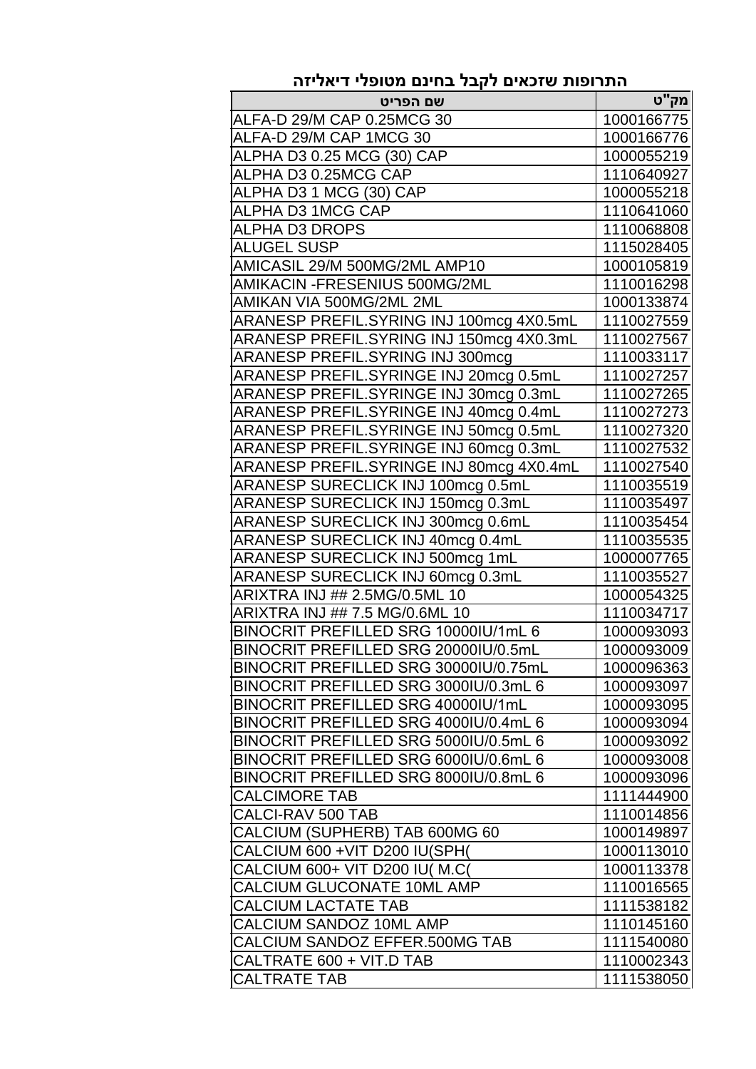| התרופות שזכאים לקבל בחינם מטופלי דיאליזה |             |  |
|------------------------------------------|-------------|--|
| שם הפריט                                 | <u>מק"ט</u> |  |
| ALFA-D 29/M CAP 0.25MCG 30               | 1000166775  |  |
| ALFA-D 29/M CAP 1MCG 30                  | 1000166776  |  |
| ALPHA D3 0.25 MCG (30) CAP               | 1000055219  |  |
| ALPHA D3 0.25MCG CAP                     | 1110640927  |  |
| ALPHA D3 1 MCG (30) CAP                  | 1000055218  |  |
| ALPHA D3 1MCG CAP                        | 1110641060  |  |
| <b>ALPHA D3 DROPS</b>                    | 1110068808  |  |
| <b>ALUGEL SUSP</b>                       | 1115028405  |  |
| AMICASIL 29/M 500MG/2ML AMP10            | 1000105819  |  |
| AMIKACIN -FRESENIUS 500MG/2ML            | 1110016298  |  |
| AMIKAN VIA 500MG/2ML 2ML                 | 1000133874  |  |
| ARANESP PREFIL.SYRING INJ 100mcg 4X0.5mL | 1110027559  |  |
| ARANESP PREFIL.SYRING INJ 150mcg 4X0.3mL | 1110027567  |  |
| ARANESP PREFIL.SYRING INJ 300mcg         | 1110033117  |  |
| ARANESP PREFIL.SYRINGE INJ 20mcg 0.5mL   | 1110027257  |  |
| ARANESP PREFIL.SYRINGE INJ 30mcg 0.3mL   | 1110027265  |  |
| ARANESP PREFIL.SYRINGE INJ 40mcg 0.4mL   | 1110027273  |  |
| ARANESP PREFIL.SYRINGE INJ 50mcg 0.5mL   | 1110027320  |  |
| ARANESP PREFIL.SYRINGE INJ 60mcg 0.3mL   | 1110027532  |  |
| ARANESP PREFIL.SYRINGE INJ 80mcg 4X0.4mL | 1110027540  |  |
| ARANESP SURECLICK INJ 100mcg 0.5mL       | 1110035519  |  |
| ARANESP SURECLICK INJ 150mcg 0.3mL       | 1110035497  |  |
| ARANESP SURECLICK INJ 300mcg 0.6mL       | 1110035454  |  |
| ARANESP SURECLICK INJ 40mcg 0.4mL        | 1110035535  |  |
| ARANESP SURECLICK INJ 500mcg 1mL         | 1000007765  |  |
| ARANESP SURECLICK INJ 60mcg 0.3mL        | 1110035527  |  |
| ARIXTRA INJ ## 2.5MG/0.5ML 10            | 1000054325  |  |
| ARIXTRA INJ ## 7.5 MG/0.6ML 10           | 1110034717  |  |
| BINOCRIT PREFILLED SRG 10000IU/1mL 6     | 1000093093  |  |
| BINOCRIT PREFILLED SRG 20000IU/0.5mL     | 1000093009  |  |
| BINOCRIT PREFILLED SRG 30000IU/0.75mL    | 1000096363  |  |
| BINOCRIT PREFILLED SRG 3000IU/0.3mL 6    | 1000093097  |  |
| BINOCRIT PREFILLED SRG 40000IU/1mL       | 1000093095  |  |
| BINOCRIT PREFILLED SRG 4000IU/0.4mL 6    | 1000093094  |  |
| BINOCRIT PREFILLED SRG 5000IU/0.5mL 6    | 1000093092  |  |
| BINOCRIT PREFILLED SRG 6000IU/0.6mL 6    | 1000093008  |  |
| BINOCRIT PREFILLED SRG 8000IU/0.8mL 6    | 1000093096  |  |
| <b>CALCIMORE TAB</b>                     | 1111444900  |  |
| CALCI-RAV 500 TAB                        | 1110014856  |  |
| CALCIUM (SUPHERB) TAB 600MG 60           | 1000149897  |  |
| CALCIUM 600 +VIT D200 IU(SPH(            | 1000113010  |  |
| CALCIUM 600+ VIT D200 IU( M.C(           | 1000113378  |  |
| CALCIUM GLUCONATE 10ML AMP               | 1110016565  |  |
| <b>CALCIUM LACTATE TAB</b>               | 1111538182  |  |
| CALCIUM SANDOZ 10ML AMP                  | 1110145160  |  |
| CALCIUM SANDOZ EFFER.500MG TAB           | 1111540080  |  |
| CALTRATE 600 + VIT.D TAB                 | 1110002343  |  |
| <b>CALTRATE TAB</b>                      | 1111538050  |  |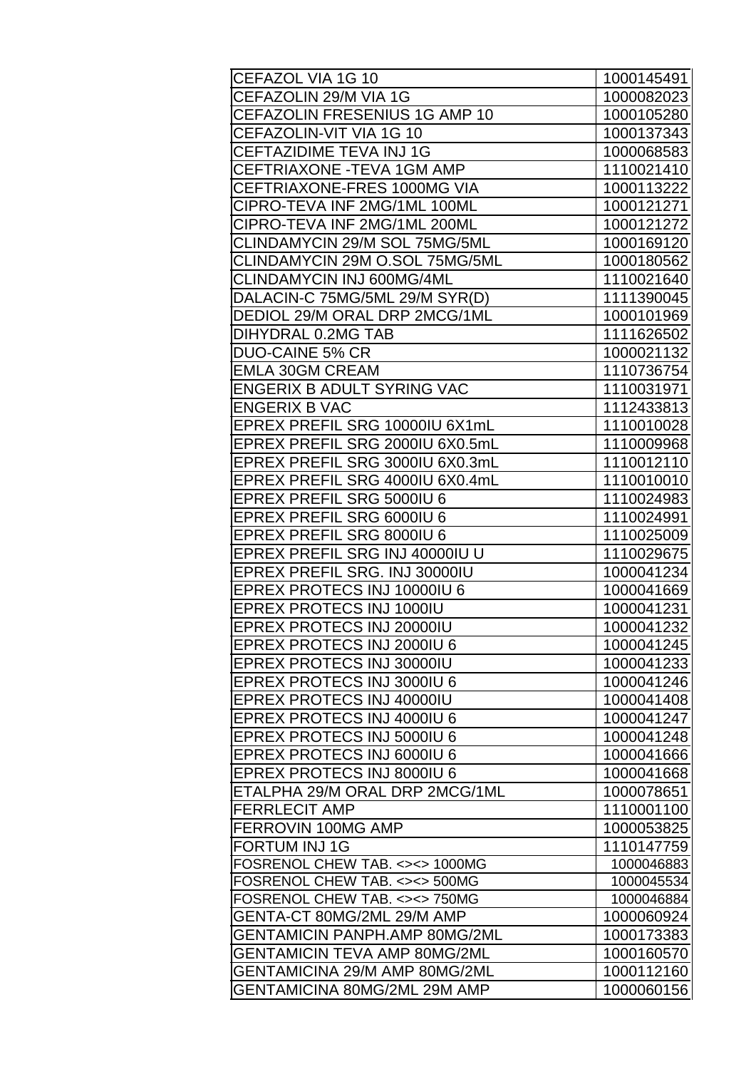| CEFAZOL VIA 1G 10                    | 1000145491 |
|--------------------------------------|------------|
| CEFAZOLIN 29/M VIA 1G                | 1000082023 |
| CEFAZOLIN FRESENIUS 1G AMP 10        | 1000105280 |
| CEFAZOLIN-VIT VIA 1G 10              | 1000137343 |
| <b>CEFTAZIDIME TEVA INJ 1G</b>       | 1000068583 |
| CEFTRIAXONE - TEVA 1GM AMP           | 1110021410 |
| CEFTRIAXONE-FRES 1000MG VIA          | 1000113222 |
| CIPRO-TEVA INF 2MG/1ML 100ML         | 1000121271 |
| CIPRO-TEVA INF 2MG/1ML 200ML         | 1000121272 |
| CLINDAMYCIN 29/M SOL 75MG/5ML        | 1000169120 |
| CLINDAMYCIN 29M O.SOL 75MG/5ML       | 1000180562 |
| CLINDAMYCIN INJ 600MG/4ML            | 1110021640 |
| DALACIN-C 75MG/5ML 29/M SYR(D)       | 1111390045 |
| DEDIOL 29/M ORAL DRP 2MCG/1ML        | 1000101969 |
| DIHYDRAL 0.2MG TAB                   | 1111626502 |
| <b>DUO-CAINE 5% CR</b>               | 1000021132 |
| <b>EMLA 30GM CREAM</b>               | 1110736754 |
| <b>ENGERIX B ADULT SYRING VAC</b>    | 1110031971 |
| <b>ENGERIX B VAC</b>                 | 1112433813 |
| EPREX PREFIL SRG 10000IU 6X1mL       | 1110010028 |
| EPREX PREFIL SRG 2000IU 6X0.5mL      | 1110009968 |
| EPREX PREFIL SRG 3000IU 6X0.3mL      | 1110012110 |
| EPREX PREFIL SRG 4000IU 6X0.4mL      | 1110010010 |
| <b>EPREX PREFIL SRG 5000IU 6</b>     | 1110024983 |
| EPREX PREFIL SRG 6000IU 6            | 1110024991 |
| EPREX PREFIL SRG 8000IU 6            | 1110025009 |
| EPREX PREFIL SRG INJ 40000IU U       | 1110029675 |
| EPREX PREFIL SRG. INJ 30000IU        | 1000041234 |
| EPREX PROTECS INJ 10000IU 6          | 1000041669 |
| EPREX PROTECS INJ 1000IU             | 1000041231 |
| <b>EPREX PROTECS INJ 20000IU</b>     | 1000041232 |
| EPREX PROTECS INJ 2000IU 6           | 1000041245 |
| <b>EPREX PROTECS INJ 30000IU</b>     | 1000041233 |
| <b>EPREX PROTECS INJ 3000IU 6</b>    | 1000041246 |
| EPREX PROTECS INJ 40000IU            | 1000041408 |
| <b>EPREX PROTECS INJ 4000IU 6</b>    | 1000041247 |
| EPREX PROTECS INJ 5000IU 6           | 1000041248 |
| <b>EPREX PROTECS INJ 6000IU 6</b>    | 1000041666 |
| <b>EPREX PROTECS INJ 8000IU 6</b>    | 1000041668 |
| ETALPHA 29/M ORAL DRP 2MCG/1ML       | 1000078651 |
| <b>FERRLECIT AMP</b>                 | 1110001100 |
| FERROVIN 100MG AMP                   | 1000053825 |
| <b>FORTUM INJ1G</b>                  | 1110147759 |
| FOSRENOL CHEW TAB. <><> 1000MG       | 1000046883 |
| FOSRENOL CHEW TAB. <><> 500MG        | 1000045534 |
| FOSRENOL CHEW TAB. <><> 750MG        | 1000046884 |
| GENTA-CT 80MG/2ML 29/M AMP           | 1000060924 |
| <b>GENTAMICIN PANPH.AMP 80MG/2ML</b> | 1000173383 |
| GENTAMICIN TEVA AMP 80MG/2ML         | 1000160570 |
| GENTAMICINA 29/M AMP 80MG/2ML        | 1000112160 |
| GENTAMICINA 80MG/2ML 29M AMP         | 1000060156 |